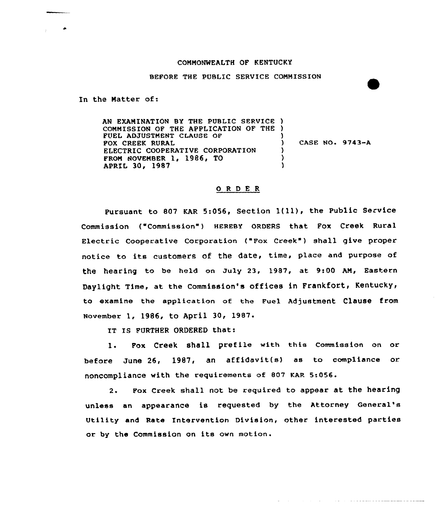## COMMONWEALTH OF KENTUCKY

## BEFORE THE PUBLIC SERVICE COMMISSION

In the Matter of:

AN EXAMINATION BY THE PUBLIC SERVICE ) COMMISSION OF THE APPLICATION OF THE ) FUEL ADJUSTMENT CLAUSE OF FOX CREEK RURAL ELECTRIC COOPERATIVE CORPORATION FROM NOVEMBER 1, 1986, TO APRIL 30, 1987 )  $)$  CASE NO. 9743-A ) )

## 0 <sup>R</sup> <sup>D</sup> E <sup>R</sup>

Pursuant to 807 KAR 5:056, Section  $1(11)$ , the Public Service Commission ("Commission") HEREBY ORDERS that Fox Creek Rural Electric Cooperative Corporation ("Fox Creek" ) shall give proper notice to its customers of the date, time, place and purpose of the hearing to be held on July 23, 1987, at 9:00 AM, Eastern Daylight Time, at the Commission's offices in Frankfort, Kentucky, to examine the application of the Fuel Adjustment Clause from November 1, 1986, to April 30< 1987.

IT IS FURTHER ORDERED that:

1. Fox Creek shall prefile with this Commission on or before June 26, 1987, an affidavit(s) as to compliance or noncompliance with the requirements of 807 KAR 5:056.

2. Pox Creek shall not be required to appear at the hearing unless an appearance is requested by the Attorney General' Utility and Rate Intervention Division, other interested parties or by the Commission on its own motion.